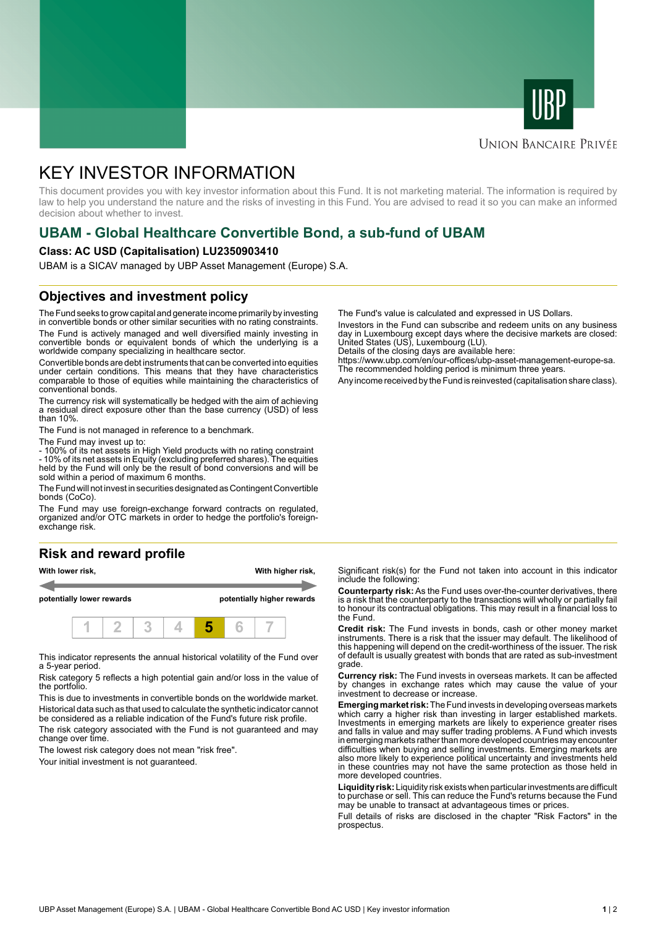



### **UNION BANCAIRE PRIVÉE**

# KEY INVESTOR INFORMATION

This document provides you with key investor information about this Fund. It is not marketing material. The information is required by law to help you understand the nature and the risks of investing in this Fund. You are advised to read it so you can make an informed decision about whether to invest.

# **UBAM - Global Healthcare Convertible Bond, a sub-fund of UBAM**

#### **Class: AC USD (Capitalisation) LU2350903410**

UBAM is a SICAV managed by UBP Asset Management (Europe) S.A.

### **Objectives and investment policy**

The Fund seeks to grow capital and generate income primarily by investing in convertible bonds or other similar securities with no rating constraints.

The Fund is actively managed and well diversified mainly investing in convertible bonds or equivalent bonds of which the underlying is a worldwide company specializing in healthcare sector.

Convertible bonds are debt instruments that can be converted into equities under certain conditions. This means that they have characteristics comparable to those of equities while maintaining the characteristics of conventional bonds.

The currency risk will systematically be hedged with the aim of achieving a residual direct exposure other than the base currency (USD) of less than 10%.

The Fund is not managed in reference to a benchmark.

The Fund may invest up to:

- 100% of its net assets in High Yield products with no rating constraint - 10% of its net assets in Equity (excluding preferred shares). The equities held by the Fund will only be the result of bond conversions and will be sold within a period of maximum 6 months.

The Fund will not invest in securities designated as Contingent Convertible bonds (CoCo).

The Fund may use foreign-exchange forward contracts on regulated, organized and/or OTC markets in order to hedge the portfolio's foreignexchange risk.

#### **Risk and reward profile**



This indicator represents the annual historical volatility of the Fund over a 5-year period.

Risk category 5 reflects a high potential gain and/or loss in the value of the portfolio.

This is due to investments in convertible bonds on the worldwide market. Historical data such as that used to calculate the synthetic indicator cannot be considered as a reliable indication of the Fund's future risk profile.

The risk category associated with the Fund is not guaranteed and may change over time.

The lowest risk category does not mean "risk free".

Your initial investment is not guaranteed.

The Fund's value is calculated and expressed in US Dollars.

Investors in the Fund can subscribe and redeem units on any business day in Luxembourg except days where the decisive markets are closed: United States (US), Luxembourg (LU).

Details of the closing days are available here:

https://www.ubp.com/en/our-offices/ubp-asset-management-europe-sa. The recommended holding period is minimum three years.

Any income received by the Fund is reinvested (capitalisation share class).

Significant risk(s) for the Fund not taken into account in this indicator include the following:

**Counterparty risk:** As the Fund uses over-the-counter derivatives, there is a risk that the counterparty to the transactions will wholly or partially fail to honour its contractual obligations. This may result in a financial loss to the Fund.

**Credit risk:** The Fund invests in bonds, cash or other money market instruments. There is a risk that the issuer may default. The likelihood of this happening will depend on the credit-worthiness of the issuer. The risk of default is usually greatest with bonds that are rated as sub-investment grade.

**Currency risk:** The Fund invests in overseas markets. It can be affected by changes in exchange rates which may cause the value of your investment to decrease or increase.

**Emerging market risk:** The Fund invests in developing overseas markets which carry a higher risk than investing in larger established markets. Investments in emerging markets are likely to experience greater rises and falls in value and may suffer trading problems. A Fund which invests in emerging markets rather than more developed countries may encounter difficulties when buying and selling investments. Emerging markets are also more likely to experience political uncertainty and investments held in these countries may not have the same protection as those held in more developed countries.

**Liquidity risk:** Liquidity risk exists when particular investments are difficult to purchase or sell. This can reduce the Fund's returns because the Fund may be unable to transact at advantageous times or prices.

Full details of risks are disclosed in the chapter "Risk Factors" in the prospectus.